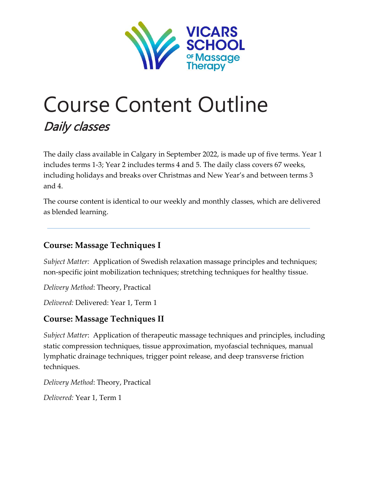

# Course Content Outline Daily classes

The daily class available in Calgary in September 2022, is made up of five terms. Year 1 includes terms 1-3; Year 2 includes terms 4 and 5. The daily class covers 67 weeks, including holidays and breaks over Christmas and New Year's and between terms 3 and 4.

The course content is identical to our weekly and monthly classes, which are delivered as blended learning.

## **Course: Massage Techniques I**

*Subject Matter:* Application of Swedish relaxation massage principles and techniques; non-specific joint mobilization techniques; stretching techniques for healthy tissue.

*Delivery Method*: Theory, Practical

*Delivered:* Delivered: Year 1, Term 1

## **Course: Massage Techniques II**

*Subject Matter*: Application of therapeutic massage techniques and principles, including static compression techniques, tissue approximation, myofascial techniques, manual lymphatic drainage techniques, trigger point release, and deep transverse friction techniques.

*Delivery Method*: Theory, Practical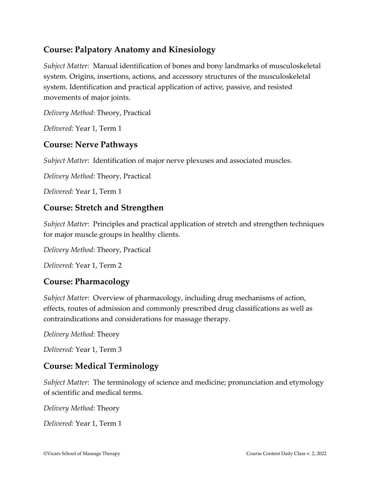## **Course: Palpatory Anatomy and Kinesiology**

*Subject Matter:* Manual identification of bones and bony landmarks of musculoskeletal system. Origins, insertions, actions, and accessory structures of the musculoskeletal system. Identification and practical application of active, passive, and resisted movements of major joints.

*Delivery Method*: Theory, Practical

*Delivered:* Year 1, Term 1

## **Course: Nerve Pathways**

*Subject Matter*: Identification of major nerve plexuses and associated muscles.

*Delivery Method*: Theory, Practical

*Delivered:* Year 1, Term 1

## **Course: Stretch and Strengthen**

*Subject Matter*: Principles and practical application of stretch and strengthen techniques for major muscle groups in healthy clients.

*Delivery Method*: Theory, Practical

*Delivered:* Year 1, Term 2

## **Course: Pharmacology**

*Subject Matter*: Overview of pharmacology, including drug mechanisms of action, effects, routes of admission and commonly prescribed drug classifications as well as contraindications and considerations for massage therapy.

*Delivery Method*: Theory

*Delivered:* Year 1, Term 3

## **Course: Medical Terminology**

*Subject Matter*: The terminology of science and medicine; pronunciation and etymology of scientific and medical terms.

*Delivery Method*: Theory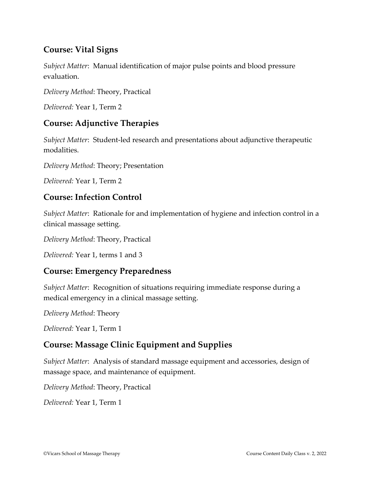## **Course: Vital Signs**

*Subject Matter*: Manual identification of major pulse points and blood pressure evaluation.

*Delivery Method*: Theory, Practical

*Delivered:* Year 1, Term 2

## **Course: Adjunctive Therapies**

*Subject Matter*: Student-led research and presentations about adjunctive therapeutic modalities.

*Delivery Method*: Theory; Presentation

*Delivered:* Year 1, Term 2

#### **Course: Infection Control**

*Subject Matter*: Rationale for and implementation of hygiene and infection control in a clinical massage setting.

*Delivery Method*: Theory, Practical

*Delivered:* Year 1, terms 1 and 3

#### **Course: Emergency Preparedness**

*Subject Matter*: Recognition of situations requiring immediate response during a medical emergency in a clinical massage setting.

*Delivery Method*: Theory

*Delivered:* Year 1, Term 1

## **Course: Massage Clinic Equipment and Supplies**

*Subject Matter*: Analysis of standard massage equipment and accessories, design of massage space, and maintenance of equipment.

*Delivery Method*: Theory, Practical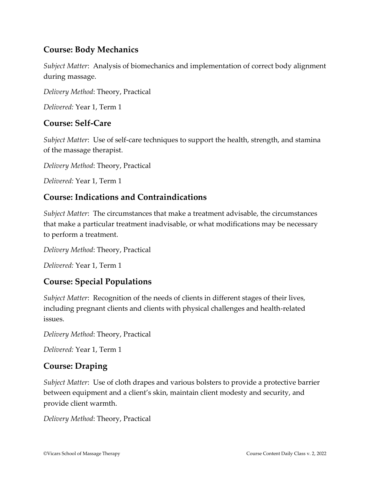## **Course: Body Mechanics**

*Subject Matter*: Analysis of biomechanics and implementation of correct body alignment during massage.

*Delivery Method*: Theory, Practical

*Delivered:* Year 1, Term 1

## **Course: Self-Care**

*Subject Matter*: Use of self-care techniques to support the health, strength, and stamina of the massage therapist.

*Delivery Method*: Theory, Practical

*Delivered:* Year 1, Term 1

## **Course: Indications and Contraindications**

*Subject Matter*: The circumstances that make a treatment advisable, the circumstances that make a particular treatment inadvisable, or what modifications may be necessary to perform a treatment.

*Delivery Method*: Theory, Practical

*Delivered:* Year 1, Term 1

## **Course: Special Populations**

*Subject Matter*: Recognition of the needs of clients in different stages of their lives, including pregnant clients and clients with physical challenges and health-related issues.

*Delivery Method*: Theory, Practical

*Delivered:* Year 1, Term 1

#### **Course: Draping**

*Subject Matter*: Use of cloth drapes and various bolsters to provide a protective barrier between equipment and a client's skin, maintain client modesty and security, and provide client warmth.

*Delivery Method*: Theory, Practical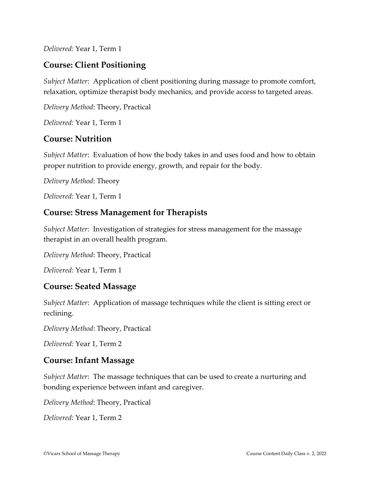*Delivered:* Year 1, Term 1

## **Course: Client Positioning**

*Subject Matter*: Application of client positioning during massage to promote comfort, relaxation, optimize therapist body mechanics, and provide access to targeted areas.

*Delivery Method*: Theory, Practical

*Delivered:* Year 1, Term 1

#### **Course: Nutrition**

*Subject Matter*: Evaluation of how the body takes in and uses food and how to obtain proper nutrition to provide energy, growth, and repair for the body.

*Delivery Method*: Theory

*Delivered:* Year 1, Term 1

#### **Course: Stress Management for Therapists**

*Subject Matter*: Investigation of strategies for stress management for the massage therapist in an overall health program.

*Delivery Method*: Theory, Practical

*Delivered:* Year 1, Term 1

#### **Course: Seated Massage**

*Subject Matter*: Application of massage techniques while the client is sitting erect or reclining.

*Delivery Method*: Theory, Practical

*Delivered:* Year 1, Term 2

#### **Course: Infant Massage**

*Subject Matter*: The massage techniques that can be used to create a nurturing and bonding experience between infant and caregiver.

*Delivery Method*: Theory, Practical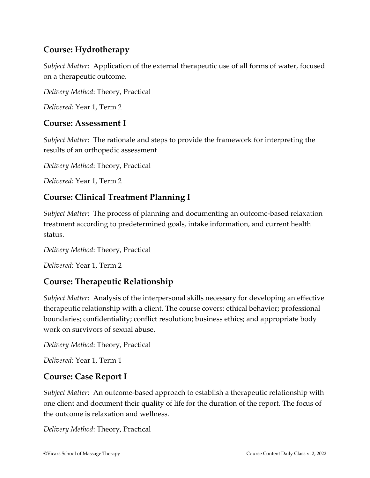## **Course: Hydrotherapy**

*Subject Matter*: Application of the external therapeutic use of all forms of water, focused on a therapeutic outcome.

*Delivery Method*: Theory, Practical

*Delivered:* Year 1, Term 2

#### **Course: Assessment I**

*Subject Matter*: The rationale and steps to provide the framework for interpreting the results of an orthopedic assessment

*Delivery Method*: Theory, Practical

*Delivered:* Year 1, Term 2

## **Course: Clinical Treatment Planning I**

*Subject Matter*: The process of planning and documenting an outcome-based relaxation treatment according to predetermined goals, intake information, and current health status.

*Delivery Method*: Theory, Practical

*Delivered:* Year 1, Term 2

## **Course: Therapeutic Relationship**

*Subject Matter*: Analysis of the interpersonal skills necessary for developing an effective therapeutic relationship with a client. The course covers: ethical behavior; professional boundaries; confidentiality; conflict resolution; business ethics; and appropriate body work on survivors of sexual abuse.

```
Delivery Method: Theory, Practical
```
*Delivered:* Year 1, Term 1

## **Course: Case Report I**

*Subject Matter*: An outcome-based approach to establish a therapeutic relationship with one client and document their quality of life for the duration of the report. The focus of the outcome is relaxation and wellness.

*Delivery Method*: Theory, Practical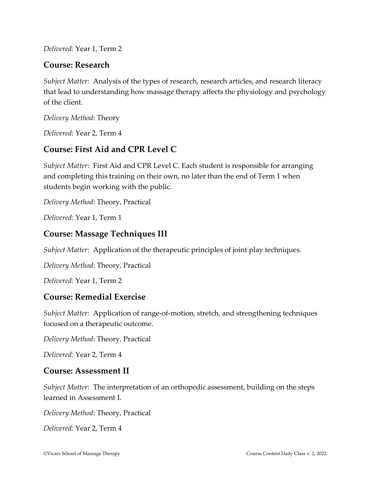*Delivered:* Year 1, Term 2

#### **Course: Research**

*Subject Matter*: Analysis of the types of research, research articles, and research literacy that lead to understanding how massage therapy affects the physiology and psychology of the client.

*Delivery Method*: Theory

*Delivered:* Year 2, Term 4

## **Course: First Aid and CPR Level C**

*Subject Matter*: First Aid and CPR Level C. Each student is responsible for arranging and completing this training on their own, no later than the end of Term 1 when students begin working with the public.

*Delivery Method*: Theory, Practical

*Delivered:* Year 1, Term 1

## **Course: Massage Techniques III**

*Subject Matter*: Application of the therapeutic principles of joint play techniques.

*Delivery Method*: Theory, Practical

*Delivered:* Year 1, Term 2

#### **Course: Remedial Exercise**

*Subject Matter*: Application of range-of-motion, stretch, and strengthening techniques focused on a therapeutic outcome.

*Delivery Method*: Theory, Practical

*Delivered:* Year 2, Term 4

#### **Course: Assessment II**

*Subject Matter*: The interpretation of an orthopedic assessment, building on the steps learned in Assessment I.

*Delivery Method*: Theory, Practical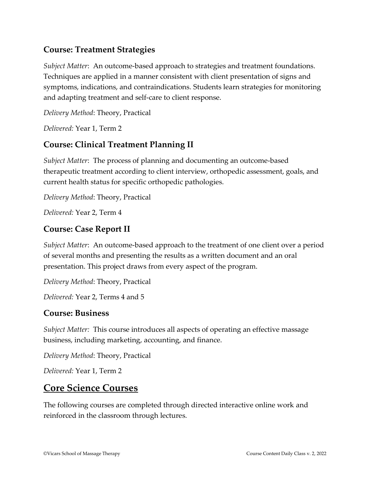## **Course: Treatment Strategies**

*Subject Matter*: An outcome-based approach to strategies and treatment foundations. Techniques are applied in a manner consistent with client presentation of signs and symptoms, indications, and contraindications. Students learn strategies for monitoring and adapting treatment and self-care to client response.

*Delivery Method*: Theory, Practical

*Delivered:* Year 1, Term 2

## **Course: Clinical Treatment Planning II**

*Subject Matter*: The process of planning and documenting an outcome-based therapeutic treatment according to client interview, orthopedic assessment, goals, and current health status for specific orthopedic pathologies.

*Delivery Method*: Theory, Practical

*Delivered:* Year 2, Term 4

#### **Course: Case Report II**

*Subject Matter*: An outcome-based approach to the treatment of one client over a period of several months and presenting the results as a written document and an oral presentation. This project draws from every aspect of the program.

*Delivery Method*: Theory, Practical

*Delivered:* Year 2, Terms 4 and 5

#### **Course: Business**

*Subject Matter:* This course introduces all aspects of operating an effective massage business, including marketing, accounting, and finance.

*Delivery Method*: Theory, Practical

*Delivered:* Year 1, Term 2

## **Core Science Courses**

The following courses are completed through directed interactive online work and reinforced in the classroom through lectures.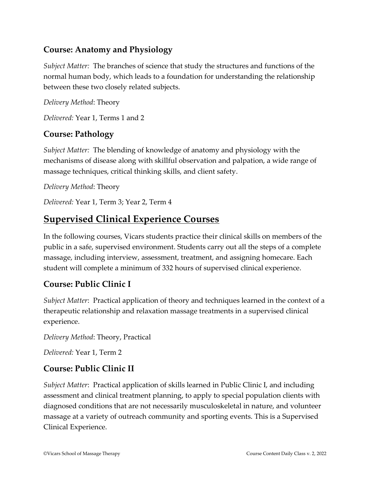## **Course: Anatomy and Physiology**

*Subject Matter:* The branches of science that study the structures and functions of the normal human body, which leads to a foundation for understanding the relationship between these two closely related subjects.

*Delivery Method*: Theory

*Delivered:* Year 1, Terms 1 and 2

## **Course: Pathology**

*Subject Matter:* The blending of knowledge of anatomy and physiology with the mechanisms of disease along with skillful observation and palpation, a wide range of massage techniques, critical thinking skills, and client safety.

*Delivery Method*: Theory

*Delivered:* Year 1, Term 3; Year 2, Term 4

## **Supervised Clinical Experience Courses**

In the following courses, Vicars students practice their clinical skills on members of the public in a safe, supervised environment. Students carry out all the steps of a complete massage, including interview, assessment, treatment, and assigning homecare. Each student will complete a minimum of 332 hours of supervised clinical experience.

## **Course: Public Clinic I**

*Subject Matter*: Practical application of theory and techniques learned in the context of a therapeutic relationship and relaxation massage treatments in a supervised clinical experience.

*Delivery Method*: Theory, Practical

*Delivered:* Year 1, Term 2

## **Course: Public Clinic II**

*Subject Matter*: Practical application of skills learned in Public Clinic I, and including assessment and clinical treatment planning, to apply to special population clients with diagnosed conditions that are not necessarily musculoskeletal in nature, and volunteer massage at a variety of outreach community and sporting events. This is a Supervised Clinical Experience.